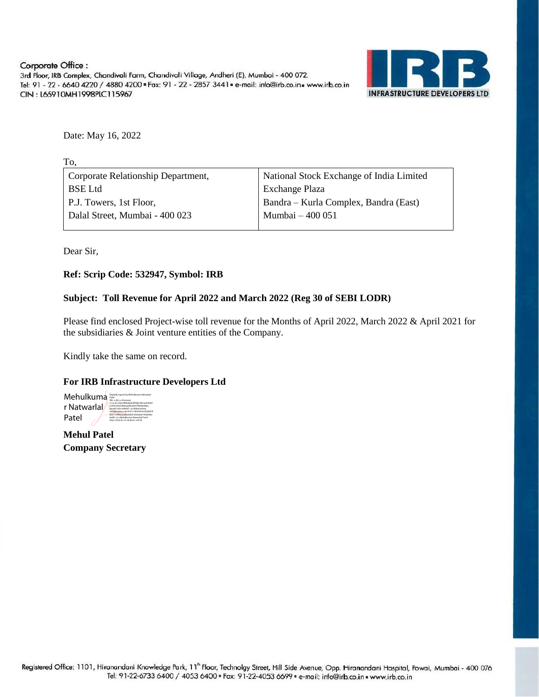Corporate Office: 3rd Floor, IRB Complex, Chandivali Farm, Chandivali Village, Andheri (E), Mumbai - 400 072. Tel: 91 - 22 - 6640 4220 / 4880 4200 = Fax: 91 - 22 - 2857 3441 = e-mail: info@irb.co.in = www.irb.co.in CIN: L65910MH1998PLC115967



Date: May 16, 2022

| TO.                                |                                          |
|------------------------------------|------------------------------------------|
| Corporate Relationship Department, | National Stock Exchange of India Limited |
| <b>BSE</b> Ltd                     | Exchange Plaza                           |
| P.J. Towers, 1st Floor,            | Bandra – Kurla Complex, Bandra (East)    |
| Dalal Street, Mumbai - 400 023     | Mumbai - 400 051                         |
|                                    |                                          |

Dear Sir,

To,

## **Ref: Scrip Code: 532947, Symbol: IRB**

## **Subject: Toll Revenue for April 2022 and March 2022 (Reg 30 of SEBI LODR)**

Please find enclosed Project-wise toll revenue for the Months of April 2022, March 2022 & April 2021 for the subsidiaries & Joint venture entities of the Company.

Kindly take the same on record.

## **For IRB Infrastructure Developers Ltd**

Mehulkuma<sup>p</sup> Signally signed by Mehulkumar Natwarlal r Natwarlal Patel 2.5.4.20=94a78f064dab4ff39b7861edcf64ef c2459100e5464ea6f9ea45f7ffdd0e48dc, postalCode=400607, st=Maharashtra, serialNumber=4a1816113b59302c922bb55f 82b11efd9325486d58d16564a6d1458dd0a 6a0fe, cn=Mehulkumar Natwarlal Patel Date: 2022.05.16 18:44:35 +05'30'

**Mehul Patel Company Secretary**